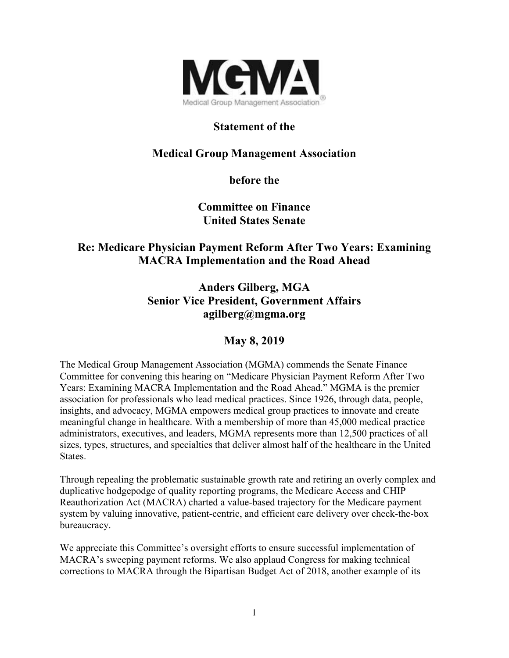

## **Statement of the**

# **Medical Group Management Association**

**before the** 

**Committee on Finance United States Senate** 

## **Re: Medicare Physician Payment Reform After Two Years: Examining MACRA Implementation and the Road Ahead**

**Anders Gilberg, MGA Senior Vice President, Government Affairs agilberg@mgma.org** 

### **May 8, 2019**

The Medical Group Management Association (MGMA) commends the Senate Finance Committee for convening this hearing on "Medicare Physician Payment Reform After Two Years: Examining MACRA Implementation and the Road Ahead." MGMA is the premier association for professionals who lead medical practices. Since 1926, through data, people, insights, and advocacy, MGMA empowers medical group practices to innovate and create meaningful change in healthcare. With a membership of more than 45,000 medical practice administrators, executives, and leaders, MGMA represents more than 12,500 practices of all sizes, types, structures, and specialties that deliver almost half of the healthcare in the United States.

Through repealing the problematic sustainable growth rate and retiring an overly complex and duplicative hodgepodge of quality reporting programs, the Medicare Access and CHIP Reauthorization Act (MACRA) charted a value-based trajectory for the Medicare payment system by valuing innovative, patient-centric, and efficient care delivery over check-the-box bureaucracy.

We appreciate this Committee's oversight efforts to ensure successful implementation of MACRA's sweeping payment reforms. We also applaud Congress for making technical corrections to MACRA through the Bipartisan Budget Act of 2018, another example of its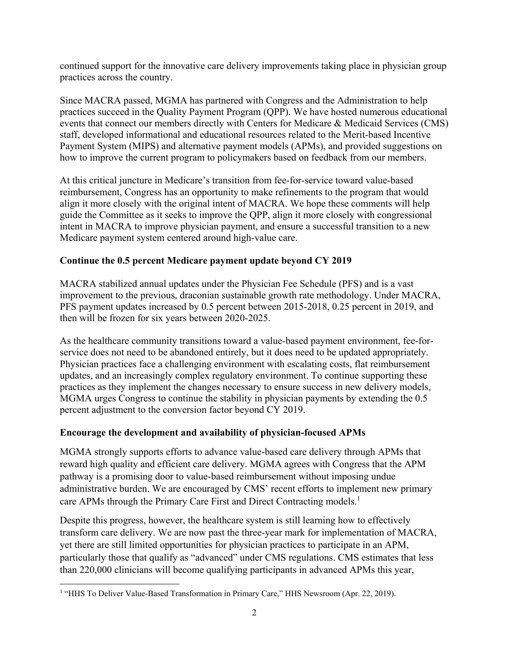continued support for the innovative care delivery improvements taking place in physician group practices across the country.

Since MACRA passed, MGMA has partnered with Congress and the Administration to help practices succeed in the Quality Payment Program (QPP). We have hosted numerous educational events that connect our members directly with Centers for Medicare & Medicaid Services (CMS) staff, developed informational and educational resources related to the Merit-based Incentive Payment System (MIPS) and alternative payment models (APMs), and provided suggestions on how to improve the current program to policymakers based on feedback from our members.

At this critical juncture in Medicare's transition from fee-for-service toward value-based reimbursement, Congress has an opportunity to make refinements to the program that would align it more closely with the original intent of MACRA. We hope these comments will help guide the Committee as it seeks to improve the QPP, align it more closely with congressional intent in MACRA to improve physician payment, and ensure a successful transition to a new Medicare payment system centered around high-value care.

### **Continue the 0.5 percent Medicare payment update beyond CY 2019**

MACRA stabilized annual updates under the Physician Fee Schedule (PFS) and is a vast improvement to the previous, draconian sustainable growth rate methodology. Under MACRA, PFS payment updates increased by 0.5 percent between 2015-2018, 0.25 percent in 2019, and then will be frozen for six years between 2020-2025.

As the healthcare community transitions toward a value-based payment environment, fee-forservice does not need to be abandoned entirely, but it does need to be updated appropriately. Physician practices face a challenging environment with escalating costs, flat reimbursement updates, and an increasingly complex regulatory environment. To continue supporting these practices as they implement the changes necessary to ensure success in new delivery models, MGMA urges Congress to continue the stability in physician payments by extending the 0.5 percent adjustment to the conversion factor beyond CY 2019.

#### **Encourage the development and availability of physician-focused APMs**

MGMA strongly supports efforts to advance value-based care delivery through APMs that reward high quality and efficient care delivery. MGMA agrees with Congress that the APM pathway is a promising door to value-based reimbursement without imposing undue administrative burden. We are encouraged by CMS' recent efforts to implement new primary care APMs through the Primary Care First and Direct Contracting models.<sup>1</sup>

Despite this progress, however, the healthcare system is still learning how to effectively transform care delivery. We are now past the three-year mark for implementation of MACRA, yet there are still limited opportunities for physician practices to participate in an APM, particularly those that qualify as "advanced" under CMS regulations. CMS estimates that less than 220,000 clinicians will become qualifying participants in advanced APMs this year,

 <sup>1</sup> "HHS To Deliver Value-Based Transformation in Primary Care," HHS Newsroom (Apr. 22, 2019).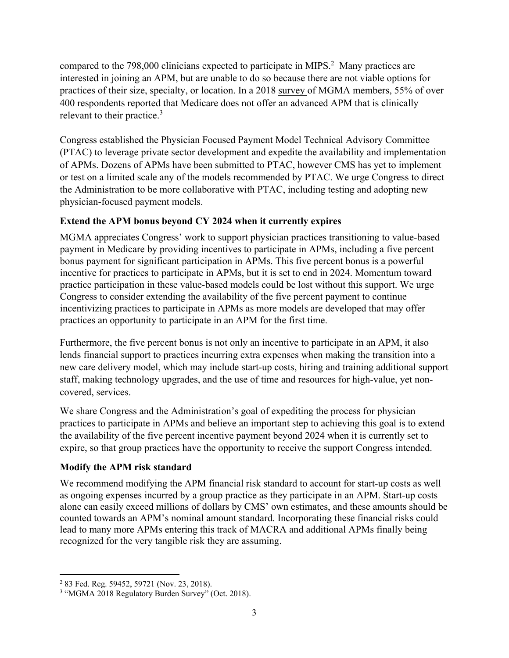compared to the  $798,000$  clinicians expected to participate in MIPS.<sup>2</sup> Many practices are interested in joining an APM, but are unable to do so because there are not viable options for practices of their size, specialty, or location. In a 2018 survey of MGMA members, 55% of over 400 respondents reported that Medicare does not offer an advanced APM that is clinically relevant to their practice.<sup>3</sup>

Congress established the Physician Focused Payment Model Technical Advisory Committee (PTAC) to leverage private sector development and expedite the availability and implementation of APMs. Dozens of APMs have been submitted to PTAC, however CMS has yet to implement or test on a limited scale any of the models recommended by PTAC. We urge Congress to direct the Administration to be more collaborative with PTAC, including testing and adopting new physician-focused payment models.

### **Extend the APM bonus beyond CY 2024 when it currently expires**

MGMA appreciates Congress' work to support physician practices transitioning to value-based payment in Medicare by providing incentives to participate in APMs, including a five percent bonus payment for significant participation in APMs. This five percent bonus is a powerful incentive for practices to participate in APMs, but it is set to end in 2024. Momentum toward practice participation in these value-based models could be lost without this support. We urge Congress to consider extending the availability of the five percent payment to continue incentivizing practices to participate in APMs as more models are developed that may offer practices an opportunity to participate in an APM for the first time.

Furthermore, the five percent bonus is not only an incentive to participate in an APM, it also lends financial support to practices incurring extra expenses when making the transition into a new care delivery model, which may include start-up costs, hiring and training additional support staff, making technology upgrades, and the use of time and resources for high-value, yet noncovered, services.

We share Congress and the Administration's goal of expediting the process for physician practices to participate in APMs and believe an important step to achieving this goal is to extend the availability of the five percent incentive payment beyond 2024 when it is currently set to expire, so that group practices have the opportunity to receive the support Congress intended.

### **Modify the APM risk standard**

We recommend modifying the APM financial risk standard to account for start-up costs as well as ongoing expenses incurred by a group practice as they participate in an APM. Start-up costs alone can easily exceed millions of dollars by CMS' own estimates, and these amounts should be counted towards an APM's nominal amount standard. Incorporating these financial risks could lead to many more APMs entering this track of MACRA and additional APMs finally being recognized for the very tangible risk they are assuming.

 2 83 Fed. Reg. 59452, 59721 (Nov. 23, 2018).

<sup>&</sup>lt;sup>3</sup> "MGMA 2018 Regulatory Burden Survey" (Oct. 2018).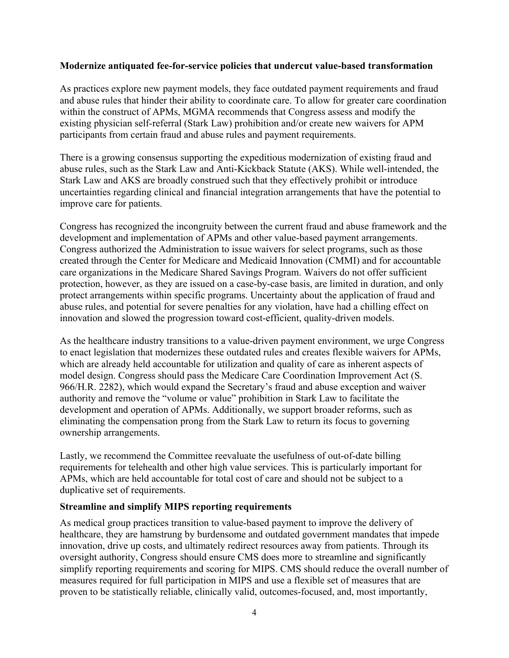#### **Modernize antiquated fee-for-service policies that undercut value-based transformation**

As practices explore new payment models, they face outdated payment requirements and fraud and abuse rules that hinder their ability to coordinate care. To allow for greater care coordination within the construct of APMs, MGMA recommends that Congress assess and modify the existing physician self-referral (Stark Law) prohibition and/or create new waivers for APM participants from certain fraud and abuse rules and payment requirements.

There is a growing consensus supporting the expeditious modernization of existing fraud and abuse rules, such as the Stark Law and Anti-Kickback Statute (AKS). While well-intended, the Stark Law and AKS are broadly construed such that they effectively prohibit or introduce uncertainties regarding clinical and financial integration arrangements that have the potential to improve care for patients.

Congress has recognized the incongruity between the current fraud and abuse framework and the development and implementation of APMs and other value-based payment arrangements. Congress authorized the Administration to issue waivers for select programs, such as those created through the Center for Medicare and Medicaid Innovation (CMMI) and for accountable care organizations in the Medicare Shared Savings Program. Waivers do not offer sufficient protection, however, as they are issued on a case-by-case basis, are limited in duration, and only protect arrangements within specific programs. Uncertainty about the application of fraud and abuse rules, and potential for severe penalties for any violation, have had a chilling effect on innovation and slowed the progression toward cost-efficient, quality-driven models.

As the healthcare industry transitions to a value-driven payment environment, we urge Congress to enact legislation that modernizes these outdated rules and creates flexible waivers for APMs, which are already held accountable for utilization and quality of care as inherent aspects of model design. Congress should pass the Medicare Care Coordination Improvement Act (S. 966/H.R. 2282), which would expand the Secretary's fraud and abuse exception and waiver authority and remove the "volume or value" prohibition in Stark Law to facilitate the development and operation of APMs. Additionally, we support broader reforms, such as eliminating the compensation prong from the Stark Law to return its focus to governing ownership arrangements.

Lastly, we recommend the Committee reevaluate the usefulness of out-of-date billing requirements for telehealth and other high value services. This is particularly important for APMs, which are held accountable for total cost of care and should not be subject to a duplicative set of requirements.

#### **Streamline and simplify MIPS reporting requirements**

As medical group practices transition to value-based payment to improve the delivery of healthcare, they are hamstrung by burdensome and outdated government mandates that impede innovation, drive up costs, and ultimately redirect resources away from patients. Through its oversight authority, Congress should ensure CMS does more to streamline and significantly simplify reporting requirements and scoring for MIPS. CMS should reduce the overall number of measures required for full participation in MIPS and use a flexible set of measures that are proven to be statistically reliable, clinically valid, outcomes-focused, and, most importantly,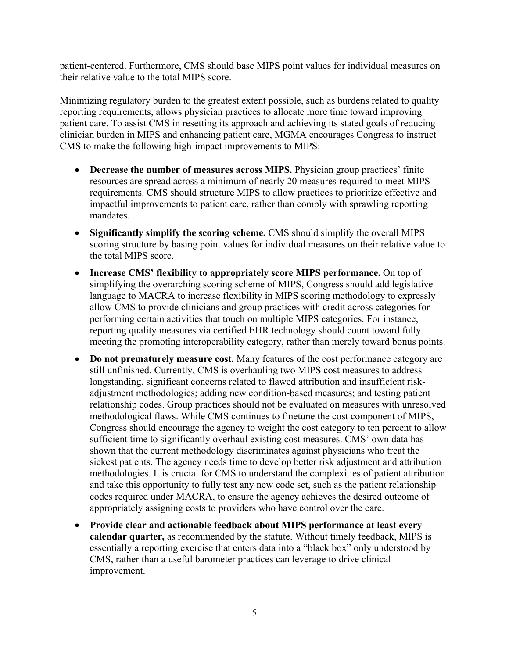patient-centered. Furthermore, CMS should base MIPS point values for individual measures on their relative value to the total MIPS score.

Minimizing regulatory burden to the greatest extent possible, such as burdens related to quality reporting requirements, allows physician practices to allocate more time toward improving patient care. To assist CMS in resetting its approach and achieving its stated goals of reducing clinician burden in MIPS and enhancing patient care, MGMA encourages Congress to instruct CMS to make the following high-impact improvements to MIPS:

- Decrease the number of measures across MIPS. Physician group practices' finite resources are spread across a minimum of nearly 20 measures required to meet MIPS requirements. CMS should structure MIPS to allow practices to prioritize effective and impactful improvements to patient care, rather than comply with sprawling reporting mandates.
- Significantly simplify the scoring scheme. CMS should simplify the overall MIPS scoring structure by basing point values for individual measures on their relative value to the total MIPS score.
- **Increase CMS' flexibility to appropriately score MIPS performance.** On top of simplifying the overarching scoring scheme of MIPS, Congress should add legislative language to MACRA to increase flexibility in MIPS scoring methodology to expressly allow CMS to provide clinicians and group practices with credit across categories for performing certain activities that touch on multiple MIPS categories. For instance, reporting quality measures via certified EHR technology should count toward fully meeting the promoting interoperability category, rather than merely toward bonus points.
- **Do not prematurely measure cost.** Many features of the cost performance category are still unfinished. Currently, CMS is overhauling two MIPS cost measures to address longstanding, significant concerns related to flawed attribution and insufficient riskadjustment methodologies; adding new condition-based measures; and testing patient relationship codes. Group practices should not be evaluated on measures with unresolved methodological flaws. While CMS continues to finetune the cost component of MIPS, Congress should encourage the agency to weight the cost category to ten percent to allow sufficient time to significantly overhaul existing cost measures. CMS' own data has shown that the current methodology discriminates against physicians who treat the sickest patients. The agency needs time to develop better risk adjustment and attribution methodologies. It is crucial for CMS to understand the complexities of patient attribution and take this opportunity to fully test any new code set, such as the patient relationship codes required under MACRA, to ensure the agency achieves the desired outcome of appropriately assigning costs to providers who have control over the care.
- **Provide clear and actionable feedback about MIPS performance at least every calendar quarter,** as recommended by the statute. Without timely feedback, MIPS is essentially a reporting exercise that enters data into a "black box" only understood by CMS, rather than a useful barometer practices can leverage to drive clinical improvement.